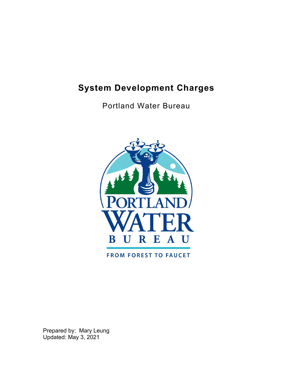# <span id="page-0-0"></span>**System Development Charges**

Portland Water Bureau



**FROM FOREST TO FAUCET** 

Prepared by: Mary Leung Updated: May 3, 2021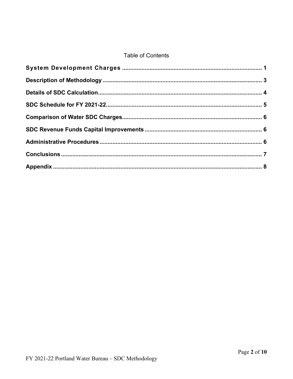#### **Table of Contents**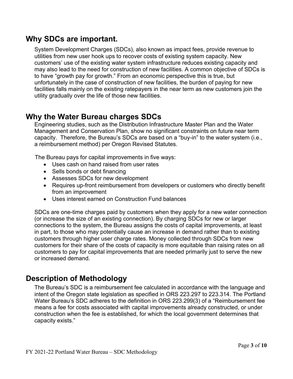#### **Why SDCs are important.**

System Development Charges (SDCs), also known as impact fees, provide revenue to utilities from new user hook ups to recover costs of existing system capacity. New customers' use of the existing water system infrastructure reduces existing capacity and may also lead to the need for construction of new facilities. A common objective of SDCs is to have "growth pay for growth." From an economic perspective this is true, but unfortunately in the case of construction of new facilities, the burden of paying for new facilities falls mainly on the existing ratepayers in the near term as new customers join the utility gradually over the life of those new facilities.

#### **Why the Water Bureau charges SDCs**

Engineering studies, such as the Distribution Infrastructure Master Plan and the Water Management and Conservation Plan, show no significant constraints on future near term capacity. Therefore, the Bureau's SDCs are based on a "buy-in" to the water system (i.e., a reimbursement method) per Oregon Revised Statutes.

The Bureau pays for capital improvements in five ways:

- Uses cash on hand raised from user rates
- Sells bonds or debt financing
- Assesses SDCs for new development
- Requires up-front reimbursement from developers or customers who directly benefit from an improvement
- Uses interest earned on Construction Fund balances

SDCs are one-time charges paid by customers when they apply for a new water connection (or increase the size of an existing connection). By charging SDCs for new or larger connections to the system, the Bureau assigns the costs of capital improvements, at least in part, to those who may potentially cause an increase in demand rather than to existing customers through higher user charge rates. Money collected through SDCs from new customers for their share of the costs of capacity is more equitable than raising rates on all customers to pay for capital improvements that are needed primarily just to serve the new or increased demand.

#### <span id="page-2-0"></span>**Description of Methodology**

The Bureau's SDC is a reimbursement fee calculated in accordance with the language and intent of the Oregon state legislation as specified in ORS 223.297 to 223.314. The Portland Water Bureau's SDC adheres to the definition in ORS 223.299(3) of a "Reimbursement fee means a fee for costs associated with capital improvements already constructed, or under construction when the fee is established, for which the local government determines that capacity exists."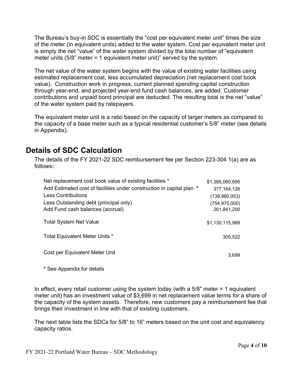The Bureau's buy-in SDC is essentially the "cost per equivalent meter unit" times the size of the meter (in equivalent units) added to the water system. Cost per equivalent meter unit is simply the net "value" of the water system divided by the total number of "equivalent meter units (5/8" meter = 1 equivalent meter unit)" served by the system.

The net value of the water system begins with the value of existing water facilities using estimated replacement cost, less accumulated depreciation (net replacement cost book value). Construction work in progress, current planned spending capital construction through year-end, and projected year-end fund cash balances, are added. Customer contributions and unpaid bond principal are deducted. The resulting total is the net "value" of the water system paid by ratepayers.

The equivalent meter unit is a ratio based on the capacity of larger meters as compared to the capacity of a base meter such as a typical residential customer's 5/8" meter (see details in Appendix).

## <span id="page-3-0"></span>**Details of SDC Calculation**

The details of the FY 2021-22 SDC reimbursement fee per Section 223-304 1(a) are as follows**:** 

| Net replacement cost book value of existing facilities *              | \$1,385,060,695 |
|-----------------------------------------------------------------------|-----------------|
| Add Estimated cost of facilities under construction in capital plan * | 377.164.126     |
| <b>Less Contributions</b>                                             | (138,980,053)   |
| Less Outstanding debt (principal only)                                | (754, 970, 000) |
| Add Fund cash balances (accrual)                                      | 261,841,200     |
| <b>Total System Net Value</b>                                         | \$1,130,115,968 |
| Total Equivalent Meter Units *                                        | 305,522         |
| Cost per Equivalent Meter Unit                                        | 3,699           |
|                                                                       |                 |

**\*** See Appendix for details

In effect, every retail customer using the system today (with a 5/8" meter = 1 equivalent meter unit) has an investment value of \$3,699 in net replacement value terms for a share of the capacity of the system assets. Therefore, new customers pay a reimbursement fee that brings their investment in line with that of existing customers.

The next table lists the SDCs for 5/8" to 16" meters based on the unit cost and equivalency capacity ratios.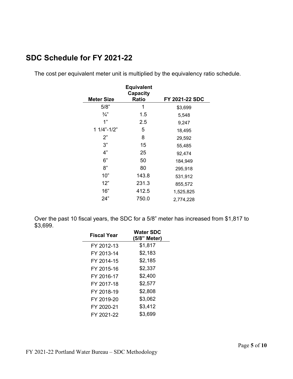## <span id="page-4-0"></span>**SDC Schedule for FY 2021-22**

The cost per equivalent meter unit is multiplied by the equivalency ratio schedule.

|                   | <b>Equivalent</b><br><b>Capacity</b> |                |
|-------------------|--------------------------------------|----------------|
| <b>Meter Size</b> | <b>Ratio</b>                         | FY 2021-22 SDC |
| 5/8"              | 1                                    | \$3,699        |
| $\frac{3}{4}$     | 1.5                                  | 5,548          |
| 1"                | 2.5                                  | 9,247          |
| $11/4" - 1/2"$    | 5                                    | 18,495         |
| 2"                | 8                                    | 29,592         |
| 3"                | 15                                   | 55,485         |
| 4"                | 25                                   | 92,474         |
| 6"                | 50                                   | 184,949        |
| 8"                | 80                                   | 295,918        |
| 10"               | 143.8                                | 531,912        |
| 12"               | 231.3                                | 855,572        |
| 16"               | 412.5                                | 1,525,825      |
| 24"               | 750.0                                | 2,774,228      |

Over the past 10 fiscal years, the SDC for a 5/8" meter has increased from \$1,817 to \$3,699.

| <b>Fiscal Year</b> | <b>Water SDC</b><br>(5/8" Meter) |  |
|--------------------|----------------------------------|--|
| FY 2012-13         | \$1,817                          |  |
| FY 2013-14         | \$2,183                          |  |
| FY 2014-15         | \$2,185                          |  |
| FY 2015-16         | \$2,337                          |  |
| FY 2016-17         | \$2,400                          |  |
| FY 2017-18         | \$2,577                          |  |
| FY 2018-19         | \$2,808                          |  |
| FY 2019-20         | \$3,062                          |  |
| FY 2020-21         | \$3,412                          |  |
| FY 2021-22         | \$3,699                          |  |
|                    |                                  |  |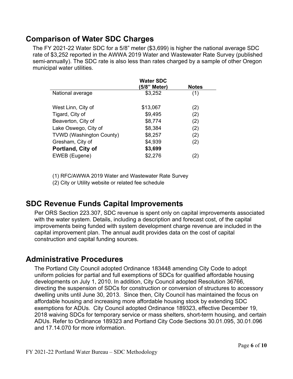#### <span id="page-5-0"></span>**Comparison of Water SDC Charges**

The FY 2021-22 Water SDC for a 5/8" meter (\$3,699) is higher the national average SDC rate of \$3,252 reported in the AWWA 2019 Water and Wastewater Rate Survey (published semi-annually). The SDC rate is also less than rates charged by a sample of other Oregon municipal water utilities.

|                                 | <b>Water SDC</b><br>(5/8" Meter) | <b>Notes</b> |
|---------------------------------|----------------------------------|--------------|
| National average                | \$3,252                          | (1)          |
| West Linn, City of              | \$13,067                         | (2)          |
| Tigard, City of                 | \$9,495                          | (2)          |
| Beaverton, City of              | \$8,774                          | (2)          |
| Lake Oswego, City of            | \$8,384                          | (2)          |
| <b>TVWD (Washington County)</b> | \$8,257                          | (2)          |
| Gresham, City of                | \$4,939                          | (2)          |
| Portland, City of               | \$3,699                          |              |
| EWEB (Eugene)                   | \$2,276                          | 2)           |

(1) RFC/AWWA 2019 Water and Wastewater Rate Survey (2) City or Utility website or related fee schedule

#### <span id="page-5-1"></span>**SDC Revenue Funds Capital Improvements**

Per ORS Section 223.307, SDC revenue is spent only on capital improvements associated with the water system. Details, including a description and forecast cost, of the capital improvements being funded with system development charge revenue are included in the capital improvement plan. The annual audit provides data on the cost of capital construction and capital funding sources.

#### <span id="page-5-2"></span>**Administrative Procedures**

The Portland City Council adopted Ordinance 183448 amending City Code to adopt uniform policies for partial and full exemptions of SDCs for qualified affordable housing developments on July 1, 2010. In addition, City Council adopted Resolution 36766, directing the suspension of SDCs for construction or conversion of structures to accessory dwelling units until June 30, 2013. Since then, City Council has maintained the focus on affordable housing and increasing more affordable housing stock by extending SDC exemptions for ADUs. City Council adopted Ordinance 189323, effective December 19, 2018 waiving SDCs for temporary service or mass shelters, short-term housing, and certain ADUs. Refer to Ordinance 189323 and Portland City Code Sections 30.01.095, 30.01.096 and 17.14.070 for more information.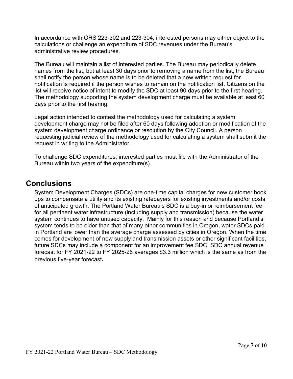In accordance with ORS 223-302 and 223-304, interested persons may either object to the calculations or challenge an expenditure of SDC revenues under the Bureau's administrative review procedures.

The Bureau will maintain a list of interested parties. The Bureau may periodically delete names from the list, but at least 30 days prior to removing a name from the list, the Bureau shall notify the person whose name is to be deleted that a new written request for notification is required if the person wishes to remain on the notification list. Citizens on the list will receive notice of intent to modify the SDC at least 90 days prior to the first hearing. The methodology supporting the system development charge must be available at least 60 days prior to the first hearing.

Legal action intended to contest the methodology used for calculating a system development charge may not be filed after 60 days following adoption or modification of the system development charge ordinance or resolution by the City Council. A person requesting judicial review of the methodology used for calculating a system shall submit the request in writing to the Administrator.

To challenge SDC expenditures, interested parties must file with the Administrator of the Bureau within two years of the expenditure(s).

#### <span id="page-6-0"></span>**Conclusions**

System Development Charges (SDCs) are one-time capital charges for new customer hook ups to compensate a utility and its existing ratepayers for existing investments and/or costs of anticipated growth. The Portland Water Bureau's SDC is a buy-in or reimbursement fee for all pertinent water infrastructure (including supply and transmission) because the water system continues to have unused capacity. Mainly for this reason and because Portland's system tends to be older than that of many other communities in Oregon, water SDCs paid in Portland are lower than the average charge assessed by cities in Oregon. When the time comes for development of new supply and transmission assets or other significant facilities, future SDCs may include a component for an improvement fee SDC. SDC annual revenue forecast for FY 2021-22 to FY 2025-26 averages \$3.3 million which is the same as from the previous five-year forecast**.**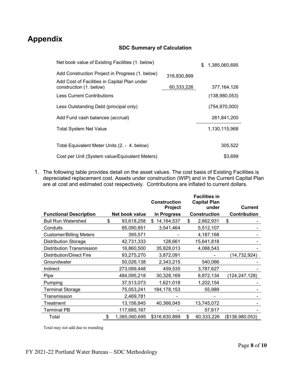# <span id="page-7-0"></span>**Appendix**

#### **SDC Summary of Calculation**

| Net book value of Existing Facilities (1. below)                        |             | \$<br>1,385,060,695 |
|-------------------------------------------------------------------------|-------------|---------------------|
| Add Construction Project in Progress (1. below)                         | 316,830,899 |                     |
| Add Cost of Facilities in Capital Plan under<br>construction (1. below) | 60,333,226  | 377, 164, 126       |
| <b>Less Current Contributions</b>                                       |             | (138,980,053)       |
| Less Outstanding Debt (principal only)                                  |             | (754, 970, 000)     |
| Add Fund cash balances (accrual)                                        |             | 261,841,200         |
| <b>Total System Net Value</b>                                           |             | 1,130,115,968       |
| Total Equivalent Meter Units (2. - 4. below)                            |             | 305,522             |
| Cost per Unit (System value/Equivalent Meters)                          |             | \$3,699             |

1. The following table provides detail on the asset values. The cost basis of Existing Facilities is depreciated replacement cost. Assets under construction (WIP) and in the Current Capital Plan are at cost and estimated cost respectively. Contributions are inflated to current dollars.

|                                  |                     | <b>Construction</b><br>Project | <b>Facilities in</b><br><b>Capital Plan</b><br>under | <b>Current</b>      |
|----------------------------------|---------------------|--------------------------------|------------------------------------------------------|---------------------|
| <b>Functional Description</b>    | Net book value      | in Progress                    | <b>Construction</b>                                  | <b>Contribution</b> |
| <b>Bull Run Watershed</b>        | \$<br>93,618,258    | 14, 164, 537<br>\$.            | \$<br>2,662,931                                      | \$                  |
| Conduits                         | 85,090,851          | 3,541,464                      | 5,512,107                                            |                     |
| <b>Customer/Billing Meters</b>   | 395,571             |                                | 4,187,168                                            |                     |
| <b>Distribution Storage</b>      | 42,731,333          | 128,661                        | 15,641,818                                           |                     |
| <b>Distribution Transmission</b> | 16,860,500          | 35,828,013                     | 4,068,543                                            |                     |
| <b>Distribution/Direct Fire</b>  | 93,275,270          | 3,872,091                      |                                                      | (14, 732, 924)      |
| Groundwater                      | 50,026,138          | 2,343,215                      | 540,066                                              |                     |
| Indirect                         | 273,089,448         | 459,535                        | 3,787,627                                            |                     |
| Pipe                             | 484,095,218         | 30,328,169                     | 8,872,134                                            | (124,247,128)       |
| Pumping                          | 37,513,073          | 1,621,018                      | 1,202,154                                            |                     |
| Terminal Storage                 | 75,053,241          | 184,178,153                    | 55,989                                               |                     |
| Transmission                     | 2,469,781           |                                |                                                      |                     |
| Treatment                        | 13,156,845          | 40,366,045                     | 13,745,072                                           |                     |
| Terminal PB                      | 117,685,167         |                                | 57,617                                               |                     |
| Total                            | \$<br>1,385,060,695 | \$316,830,899                  | \$<br>60,333,226                                     | (\$138,980,053)     |

Total may not add due to rounding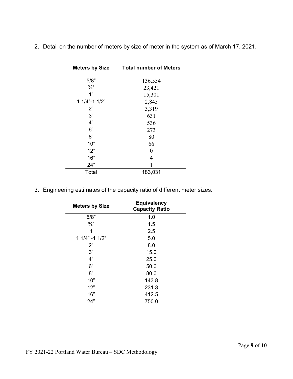2. Detail on the number of meters by size of meter in the system as of March 17, 2021.

| <b>Meters by Size</b> | <b>Total number of Meters</b> |
|-----------------------|-------------------------------|
| 5/8"                  | 136,554                       |
| $\frac{3}{4}$         | 23,421                        |
| 1"                    | 15,301                        |
| $11/4" - 11/2"$       | 2,845                         |
| 2"                    | 3,319                         |
| 3"                    | 631                           |
| 4"                    | 536                           |
| 6"                    | 273                           |
| 8"                    | 80                            |
| 10"                   | 66                            |
| 12"                   | $\theta$                      |
| 16"                   | 4                             |
| 24"                   |                               |
| Total                 |                               |

3. Engineering estimates of the capacity ratio of different meter sizes.

| <b>Meters by Size</b> | <b>Equivalency</b><br><b>Capacity Ratio</b> |
|-----------------------|---------------------------------------------|
| 5/8"                  | 1.0                                         |
| $\frac{3}{4}$         | 1.5                                         |
| 1                     | 2.5                                         |
| $11/4" - 11/2"$       | 5.0                                         |
| 2"                    | 8.0                                         |
| 3"                    | 15.0                                        |
| 4"                    | 25.0                                        |
| 6"                    | 50.0                                        |
| 8"                    | 80.0                                        |
| 10"                   | 143.8                                       |
| 12"                   | 231.3                                       |
| 16"                   | 412.5                                       |
| 24"                   | 750.0                                       |